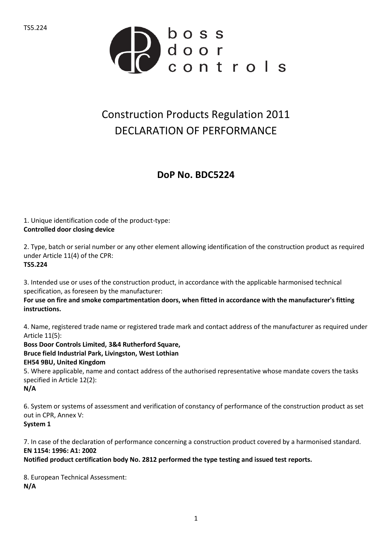

## Construction Products Regulation 2011 DECLARATION OF PERFORMANCE

## **DoP No. BDC5224**

1. Unique identification code of the product-type: **Controlled door closing device**

2. Type, batch or serial number or any other element allowing identification of the construction product as required under Article 11(4) of the CPR: **TS5.224**

3. Intended use or uses of the construction product, in accordance with the applicable harmonised technical specification, as foreseen by the manufacturer:

**For use on fire and smoke compartmentation doors, when fitted in accordance with the manufacturer's fitting instructions.**

4. Name, registered trade name or registered trade mark and contact address of the manufacturer as required under Article 11(5):

**Boss Door Controls Limited, 3&4 Rutherford Square, Bruce field Industrial Park, Livingston, West Lothian EH54 9BU, United Kingdom** 5. Where applicable, name and contact address of the authorised representative whose mandate covers the tasks specified in Article 12(2): **N/A**

6. System or systems of assessment and verification of constancy of performance of the construction product as set out in CPR, Annex V: **System 1**

7. In case of the declaration of performance concerning a construction product covered by a harmonised standard. **EN 1154: 1996: A1: 2002**

**Notified product certification body No. 2812 performed the type testing and issued test reports.**

8. European Technical Assessment: **N/A**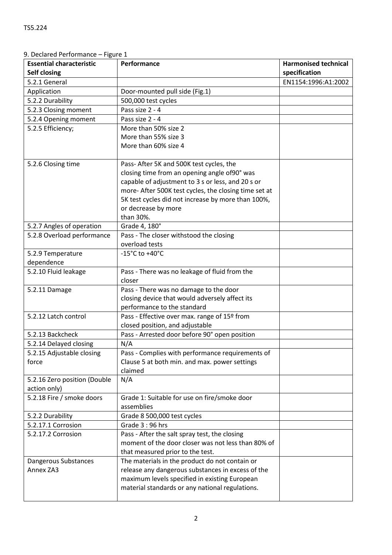| <b>Essential characteristic</b> | Performance                                           | <b>Harmonised technical</b> |
|---------------------------------|-------------------------------------------------------|-----------------------------|
| <b>Self closing</b>             |                                                       | specification               |
| 5.2.1 General                   |                                                       | EN1154:1996:A1:2002         |
| Application                     | Door-mounted pull side (Fig.1)                        |                             |
| 5.2.2 Durability                | 500,000 test cycles                                   |                             |
| 5.2.3 Closing moment            | Pass size 2 - 4                                       |                             |
| 5.2.4 Opening moment            | Pass size 2 - 4                                       |                             |
| 5.2.5 Efficiency;               | More than 50% size 2                                  |                             |
|                                 | More than 55% size 3                                  |                             |
|                                 | More than 60% size 4                                  |                             |
|                                 |                                                       |                             |
| 5.2.6 Closing time              | Pass- After 5K and 500K test cycles, the              |                             |
|                                 | closing time from an opening angle of90° was          |                             |
|                                 | capable of adjustment to 3 s or less, and 20 s or     |                             |
|                                 | more- After 500K test cycles, the closing time set at |                             |
|                                 | 5K test cycles did not increase by more than 100%,    |                             |
|                                 | or decrease by more                                   |                             |
|                                 | than 30%.                                             |                             |
| 5.2.7 Angles of operation       | Grade 4, 180°                                         |                             |
| 5.2.8 Overload performance      | Pass - The closer withstood the closing               |                             |
|                                 | overload tests                                        |                             |
| 5.2.9 Temperature               | -15 $^{\circ}$ C to +40 $^{\circ}$ C                  |                             |
| dependence                      |                                                       |                             |
| 5.2.10 Fluid leakage            | Pass - There was no leakage of fluid from the         |                             |
|                                 | closer                                                |                             |
| 5.2.11 Damage                   | Pass - There was no damage to the door                |                             |
|                                 | closing device that would adversely affect its        |                             |
|                                 | performance to the standard                           |                             |
| 5.2.12 Latch control            | Pass - Effective over max. range of 15º from          |                             |
|                                 | closed position, and adjustable                       |                             |
| 5.2.13 Backcheck                | Pass - Arrested door before 90° open position         |                             |
| 5.2.14 Delayed closing          | N/A                                                   |                             |
| 5.2.15 Adjustable closing       | Pass - Complies with performance requirements of      |                             |
| force                           | Clause 5 at both min. and max. power settings         |                             |
|                                 | claimed                                               |                             |
| 5.2.16 Zero position (Double    | N/A                                                   |                             |
| action only)                    |                                                       |                             |
| 5.2.18 Fire / smoke doors       | Grade 1: Suitable for use on fire/smoke door          |                             |
|                                 | assemblies                                            |                             |
| 5.2.2 Durability                | Grade 8 500,000 test cycles                           |                             |
| 5.2.17.1 Corrosion              | Grade $3:96$ hrs                                      |                             |
| 5.2.17.2 Corrosion              | Pass - After the salt spray test, the closing         |                             |
|                                 | moment of the door closer was not less than 80% of    |                             |
|                                 | that measured prior to the test.                      |                             |
| Dangerous Substances            | The materials in the product do not contain or        |                             |
| Annex ZA3                       | release any dangerous substances in excess of the     |                             |
|                                 | maximum levels specified in existing European         |                             |
|                                 | material standards or any national regulations.       |                             |
|                                 |                                                       |                             |

9. Declared Performance – Figure 1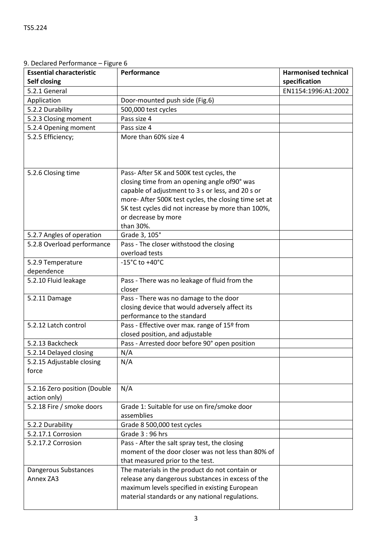I

| <b>Essential characteristic</b>              | Performance                                           | <b>Harmonised technical</b> |
|----------------------------------------------|-------------------------------------------------------|-----------------------------|
| <b>Self closing</b>                          |                                                       | specification               |
| 5.2.1 General                                |                                                       | EN1154:1996:A1:2002         |
| Application                                  | Door-mounted push side (Fig.6)                        |                             |
| 5.2.2 Durability                             | 500,000 test cycles                                   |                             |
| 5.2.3 Closing moment                         | Pass size 4                                           |                             |
| 5.2.4 Opening moment                         | Pass size 4                                           |                             |
| 5.2.5 Efficiency;                            | More than 60% size 4                                  |                             |
| 5.2.6 Closing time                           | Pass- After 5K and 500K test cycles, the              |                             |
|                                              | closing time from an opening angle of90° was          |                             |
|                                              | capable of adjustment to 3 s or less, and 20 s or     |                             |
|                                              | more- After 500K test cycles, the closing time set at |                             |
|                                              | 5K test cycles did not increase by more than 100%,    |                             |
|                                              | or decrease by more                                   |                             |
|                                              | than 30%.                                             |                             |
| 5.2.7 Angles of operation                    | Grade 3, 105°                                         |                             |
| 5.2.8 Overload performance                   | Pass - The closer withstood the closing               |                             |
|                                              | overload tests                                        |                             |
| 5.2.9 Temperature                            | $-15^{\circ}$ C to $+40^{\circ}$ C                    |                             |
| dependence                                   |                                                       |                             |
| 5.2.10 Fluid leakage                         | Pass - There was no leakage of fluid from the         |                             |
|                                              | closer                                                |                             |
| 5.2.11 Damage                                | Pass - There was no damage to the door                |                             |
|                                              | closing device that would adversely affect its        |                             |
|                                              | performance to the standard                           |                             |
| 5.2.12 Latch control                         | Pass - Effective over max. range of 15º from          |                             |
|                                              | closed position, and adjustable                       |                             |
| 5.2.13 Backcheck                             | Pass - Arrested door before 90° open position         |                             |
| 5.2.14 Delayed closing                       | N/A                                                   |                             |
| 5.2.15 Adjustable closing                    | N/A                                                   |                             |
| force                                        |                                                       |                             |
| 5.2.16 Zero position (Double<br>action only) | N/A                                                   |                             |
| 5.2.18 Fire / smoke doors                    | Grade 1: Suitable for use on fire/smoke door          |                             |
|                                              | assemblies                                            |                             |
| 5.2.2 Durability                             | Grade 8 500,000 test cycles                           |                             |
| 5.2.17.1 Corrosion                           | Grade 3:96 hrs                                        |                             |
| 5.2.17.2 Corrosion                           | Pass - After the salt spray test, the closing         |                             |
|                                              | moment of the door closer was not less than 80% of    |                             |
|                                              | that measured prior to the test.                      |                             |
| Dangerous Substances                         | The materials in the product do not contain or        |                             |
| Annex ZA3                                    | release any dangerous substances in excess of the     |                             |
|                                              | maximum levels specified in existing European         |                             |
|                                              | material standards or any national regulations.       |                             |
|                                              |                                                       |                             |

9. Declared Performance – Figure 6